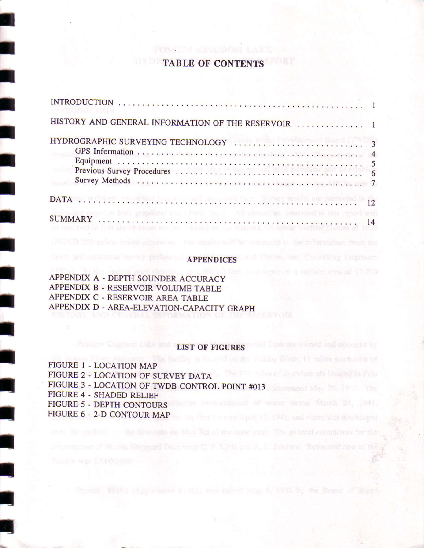## TABLE OF CONTENTS

POSSIBLE KANSSMORT LER

| HISTORY AND GENERAL INFORMATION OF THE RESERVOIR  1                                                                                                                                      |  |
|------------------------------------------------------------------------------------------------------------------------------------------------------------------------------------------|--|
|                                                                                                                                                                                          |  |
|                                                                                                                                                                                          |  |
|                                                                                                                                                                                          |  |
|                                                                                                                                                                                          |  |
| DATA ACTIVITIES IN THE LATER LIBERAL CONTRACT IN THE PERPENDENT OF 12                                                                                                                    |  |
| a page in both graphical and ubula. for a well pleved on presenced in this report will<br>DO PROSTED IN JERU ADIONA SHEAR RIA JEA JI DAGEN GU TIG TRADOR U GENERE VERTRAFINATO SHEKE BAT |  |

# heart sedimentation tervey performs. APPENDICES ( and

APPENDIX A - DEPTH SOUNDER ACCURACY APPENDIX B . RESERVOIR VOLUME TABLE APPENDIX C - RESERVOIR AREA TABLE APPENDIX D - AREA.ELEVATION-CAPACITY GRAPH

IIIIIII

I<br>I

i<br>I

IIII

I|

# Possure Kanglern Lake and LIST OF FIGURES and Dam life owned and operated by

construction of Mucha Serpone: Dairy were C. F. Little and A. L. Johnson, "Betimated box of the

FIGURE 1 - LOCATION MAP FIGURE 2 - LOCATION OF SURVEY DATA **The TILE of more ine arc located** in Palo FIGURE 3 - LOCATION OF TWDB CONTROL POINT #013 FIGURE 4 - SHADED RELIEF FIGURE 5 - DEPTH CONTOURS impoundsmost of want becan March 21, 1941. FIGURE 6 - 2.D CONTOUR MAP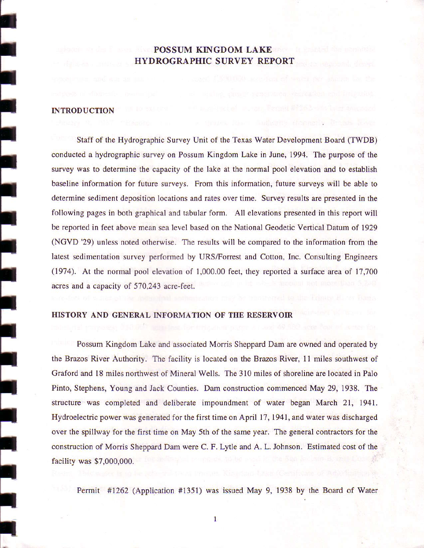## POSSUM KINGDOM LAKE HYDROGRAPHIC SURVEY REPORT

### **INTRODUCTION**

I

I

I

I

I

I

I

I

I

t

I

I

I

I

I

I

I

rl

Staff of the Hydrographic Survey Unit of the Texas Water Development Board (TWDB) conducted ahydrographic survey on Possum Kingdom Lake in June, 1994. The purpose of the survey was to determine the capacity of the lake at the normal pool elevation and to establish baseline information for future surveys. From this information, future surveys will be able to determine sediment deposition locations and rates over time. Survey results are presented in the following pages in both graphical and tabular form. All elevations presented in this report will be reported in feet above mean sea level based on the National Geodetic Vertical Datum of 1929 (NGVD '29) unless noted otherwise. The results will be compared to the information from the latest sedimentation survey performed by URS/Fonest and Cotton, Inc. Consulting Engineers  $(1974)$ . At the normal pool elevation of  $1,000.00$  feet, they reported a surface area of 17,700 acres and a capacity of 570,243 acre-feet.

#### HISTORY AND GENERAL INFORMATION OF THE RESERVOIR

Possum Kingdom Lake and associated Morris Sheppard Dam are owned and operated by the Brazos River Authority. The facility is located on the Brazos River, 11 miles southwest of Graford and l8 miles northwest of Mineral Wells. The 310 miles of shoreline are located in Palo Pinto, Stephens, Young and Jack Counties. Dam construction commenced May 29, 1938. The structure was completed and deliberate impoundment of water began March 21, 1941. Hydroelectric power was generated for the first time on April 17, 1941, and water was discharged over the spillway for the first time on May 5th of the same year. The general contractors for the construction of Morris Sheppard Dam were C. F. Lytle and A. L. Johnson. Estimated cost of the facility was \$?,000,000.

Permit #1262 (Application #1351) was issued May 9, 1938 by the Board of Water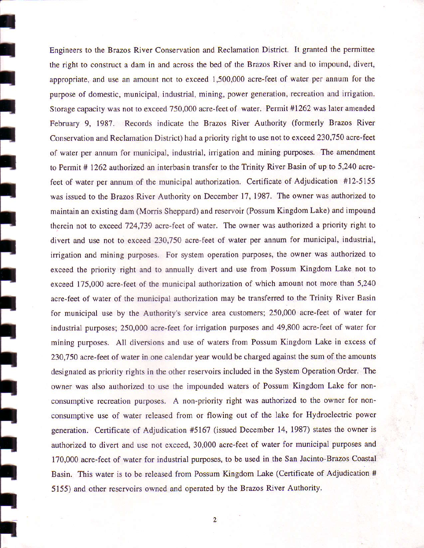Engineers to the Brazos River Conservation and Reclamation District. It granted the permittee the right to construct a dam in and across the bed of the Brazos River and to impound, divert, appropriate, and use an amount not to exceed 1,500,000 acre-feet of water per annum for the purpose of domestic, municipal, industrial, mining, power generation, recreation and irrigation. Storage capacity was not to exceed 750,000 acre-feet of water. Permit #1262 was later amended February 9, 1987. Records indicate the Brazos River Authority (formerly Brazos River Conservation and Reclamation District) had a priority right to use not to exceed 230,750 acre-feet of water per annum for municipal, industrial, irrigation and mining purposes. The amendment to Permit # 1262 authorized an interbasin transfer to the Trinity River Basin of up to 5,240 acrefeet of water per annum of the municipal authorization. Certificate of Adjudication #12-5155 was issued to the Brazos River Authority on December 17, 1987. The owner was authorized to maintain an existing dam (Morris Sheppard) and reservoir (Possum Kingdom Lake) and impound therein not to exceed 724,739 acre-feet of water. The owner was authorized a priority right to divert and use not to exceed 230,?50 acre-feet of water per annum for municipal, industrial, irrigation and mining purposes. For system operation purposes, the owner was authorized to exceed the priority right and to annually divert and use from Possum Kingdom Lake not to exceed 175,000 acre-feet of the municipal authorization of which amount not more than 5,240 acre-feet of water of the municipal authorization may be transferred to the Trinity River Basin for municipal use by the Authority's service area customers; 250,000 acre-feet of water for industrial purposes; 250,000 acre-feet for irrigation purposes and 49,800 acre-feet of water for mining purposes. All diversions and use of waters from Possum Kingdom Lake in excess of 230,750 acre-feet of water in one calendar year would be charged against the sum of the amounts designated as priority rights in the other reservoirs included in the System Operation Order. The owner was also authorized to use the impounded waters of Possum Kingdom Lake for nonconsumptive recreation purposes. A non-priority right was authorized to the owner for nonconsumptive use of water released from or flowing out of the lake for Hydroelectric power generation. Certificate of Adjudication #5167 (issued December 14, 1987) states the owner is authorized to divert and use not exceed, 30,000 acre-feet of water for municipal purposes and 170,000 acre-feet of water for industrial purposes, to be used in the San Jacinto-Brazos Coastal Basin. This water is to be released from Possum Kingdom Lake (Certificate of Adjudication # 5155) and other reservoirs owned and operated by the Brazos River Authority.

I

t

I|

I

I

I

I

I

I

I I

I I

 t

l|

t

l|

l|

I

I|

l|

 $\overline{2}$